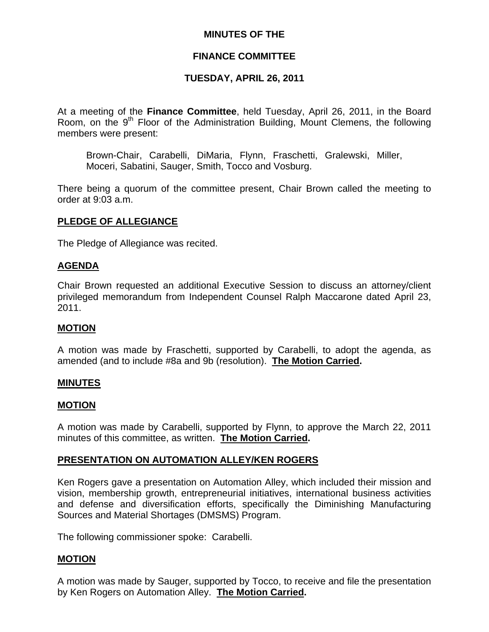# **MINUTES OF THE**

## **FINANCE COMMITTEE**

# **TUESDAY, APRIL 26, 2011**

At a meeting of the **Finance Committee**, held Tuesday, April 26, 2011, in the Board Room, on the 9<sup>th</sup> Floor of the Administration Building, Mount Clemens, the following members were present:

Brown-Chair, Carabelli, DiMaria, Flynn, Fraschetti, Gralewski, Miller, Moceri, Sabatini, Sauger, Smith, Tocco and Vosburg.

There being a quorum of the committee present, Chair Brown called the meeting to order at 9:03 a.m.

#### **PLEDGE OF ALLEGIANCE**

The Pledge of Allegiance was recited.

#### **AGENDA**

Chair Brown requested an additional Executive Session to discuss an attorney/client privileged memorandum from Independent Counsel Ralph Maccarone dated April 23, 2011.

#### **MOTION**

A motion was made by Fraschetti, supported by Carabelli, to adopt the agenda, as amended (and to include #8a and 9b (resolution). **The Motion Carried.** 

#### **MINUTES**

#### **MOTION**

A motion was made by Carabelli, supported by Flynn, to approve the March 22, 2011 minutes of this committee, as written. **The Motion Carried.** 

# **PRESENTATION ON AUTOMATION ALLEY/KEN ROGERS**

Ken Rogers gave a presentation on Automation Alley, which included their mission and vision, membership growth, entrepreneurial initiatives, international business activities and defense and diversification efforts, specifically the Diminishing Manufacturing Sources and Material Shortages (DMSMS) Program.

The following commissioner spoke: Carabelli.

#### **MOTION**

A motion was made by Sauger, supported by Tocco, to receive and file the presentation by Ken Rogers on Automation Alley. **The Motion Carried.**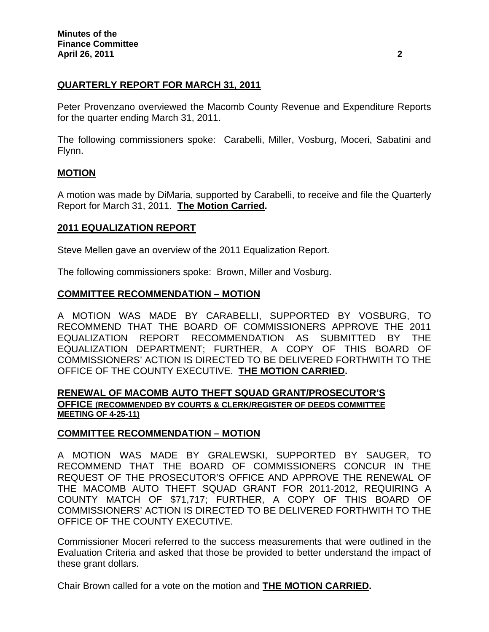# **QUARTERLY REPORT FOR MARCH 31, 2011**

Peter Provenzano overviewed the Macomb County Revenue and Expenditure Reports for the quarter ending March 31, 2011.

The following commissioners spoke: Carabelli, Miller, Vosburg, Moceri, Sabatini and Flynn.

## **MOTION**

A motion was made by DiMaria, supported by Carabelli, to receive and file the Quarterly Report for March 31, 2011. **The Motion Carried.** 

## **2011 EQUALIZATION REPORT**

Steve Mellen gave an overview of the 2011 Equalization Report.

The following commissioners spoke: Brown, Miller and Vosburg.

## **COMMITTEE RECOMMENDATION – MOTION**

A MOTION WAS MADE BY CARABELLI, SUPPORTED BY VOSBURG, TO RECOMMEND THAT THE BOARD OF COMMISSIONERS APPROVE THE 2011 EQUALIZATION REPORT RECOMMENDATION AS SUBMITTED BY THE EQUALIZATION DEPARTMENT; FURTHER, A COPY OF THIS BOARD OF COMMISSIONERS' ACTION IS DIRECTED TO BE DELIVERED FORTHWITH TO THE OFFICE OF THE COUNTY EXECUTIVE. **THE MOTION CARRIED.** 

## **RENEWAL OF MACOMB AUTO THEFT SQUAD GRANT/PROSECUTOR'S OFFICE (RECOMMENDED BY COURTS & CLERK/REGISTER OF DEEDS COMMITTEE MEETING OF 4-25-11)**

#### **COMMITTEE RECOMMENDATION – MOTION**

A MOTION WAS MADE BY GRALEWSKI, SUPPORTED BY SAUGER, TO RECOMMEND THAT THE BOARD OF COMMISSIONERS CONCUR IN THE REQUEST OF THE PROSECUTOR'S OFFICE AND APPROVE THE RENEWAL OF THE MACOMB AUTO THEFT SQUAD GRANT FOR 2011-2012, REQUIRING A COUNTY MATCH OF \$71,717; FURTHER, A COPY OF THIS BOARD OF COMMISSIONERS' ACTION IS DIRECTED TO BE DELIVERED FORTHWITH TO THE OFFICE OF THE COUNTY EXECUTIVE.

Commissioner Moceri referred to the success measurements that were outlined in the Evaluation Criteria and asked that those be provided to better understand the impact of these grant dollars.

Chair Brown called for a vote on the motion and **THE MOTION CARRIED.**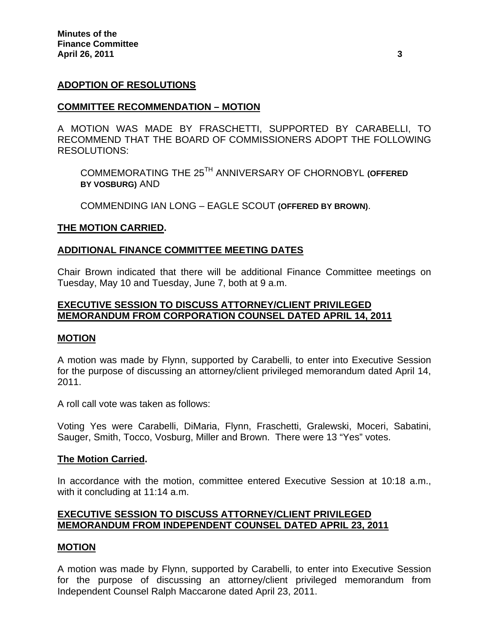## **ADOPTION OF RESOLUTIONS**

#### **COMMITTEE RECOMMENDATION – MOTION**

A MOTION WAS MADE BY FRASCHETTI, SUPPORTED BY CARABELLI, TO RECOMMEND THAT THE BOARD OF COMMISSIONERS ADOPT THE FOLLOWING RESOLUTIONS:

COMMEMORATING THE 25TH ANNIVERSARY OF CHORNOBYL **(OFFERED BY VOSBURG)** AND

COMMENDING IAN LONG – EAGLE SCOUT **(OFFERED BY BROWN)**.

#### **THE MOTION CARRIED.**

#### **ADDITIONAL FINANCE COMMITTEE MEETING DATES**

Chair Brown indicated that there will be additional Finance Committee meetings on Tuesday, May 10 and Tuesday, June 7, both at 9 a.m.

## **EXECUTIVE SESSION TO DISCUSS ATTORNEY/CLIENT PRIVILEGED MEMORANDUM FROM CORPORATION COUNSEL DATED APRIL 14, 2011**

#### **MOTION**

A motion was made by Flynn, supported by Carabelli, to enter into Executive Session for the purpose of discussing an attorney/client privileged memorandum dated April 14, 2011.

A roll call vote was taken as follows:

Voting Yes were Carabelli, DiMaria, Flynn, Fraschetti, Gralewski, Moceri, Sabatini, Sauger, Smith, Tocco, Vosburg, Miller and Brown. There were 13 "Yes" votes.

#### **The Motion Carried.**

In accordance with the motion, committee entered Executive Session at 10:18 a.m., with it concluding at 11:14 a.m.

# **EXECUTIVE SESSION TO DISCUSS ATTORNEY/CLIENT PRIVILEGED MEMORANDUM FROM INDEPENDENT COUNSEL DATED APRIL 23, 2011**

#### **MOTION**

A motion was made by Flynn, supported by Carabelli, to enter into Executive Session for the purpose of discussing an attorney/client privileged memorandum from Independent Counsel Ralph Maccarone dated April 23, 2011.